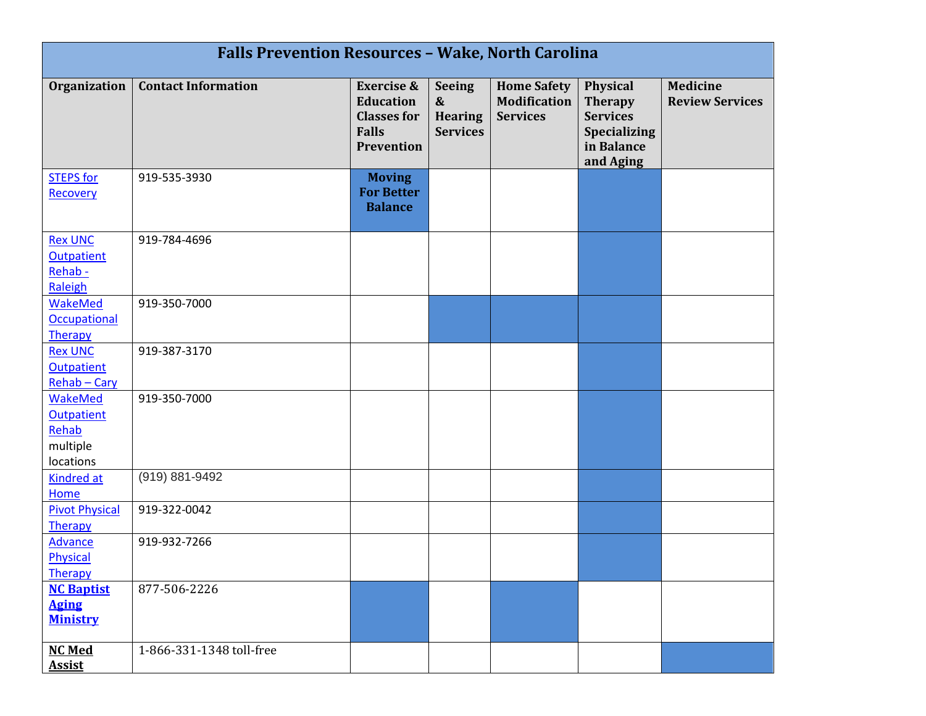| <b>Falls Prevention Resources - Wake, North Carolina</b>       |                            |                                                                                               |                                                                         |                                                              |                                                                                                 |                                           |  |  |  |
|----------------------------------------------------------------|----------------------------|-----------------------------------------------------------------------------------------------|-------------------------------------------------------------------------|--------------------------------------------------------------|-------------------------------------------------------------------------------------------------|-------------------------------------------|--|--|--|
| <b>Organization</b>                                            | <b>Contact Information</b> | <b>Exercise &amp;</b><br><b>Education</b><br><b>Classes for</b><br><b>Falls</b><br>Prevention | <b>Seeing</b><br>$\boldsymbol{\&}$<br><b>Hearing</b><br><b>Services</b> | <b>Home Safety</b><br><b>Modification</b><br><b>Services</b> | Physical<br><b>Therapy</b><br><b>Services</b><br><b>Specializing</b><br>in Balance<br>and Aging | <b>Medicine</b><br><b>Review Services</b> |  |  |  |
| <b>STEPS for</b><br>Recovery                                   | 919-535-3930               | <b>Moving</b><br><b>For Better</b><br><b>Balance</b>                                          |                                                                         |                                                              |                                                                                                 |                                           |  |  |  |
| <b>Rex UNC</b><br><b>Outpatient</b><br>Rehab-<br>Raleigh       | 919-784-4696               |                                                                                               |                                                                         |                                                              |                                                                                                 |                                           |  |  |  |
| <b>WakeMed</b><br><b>Occupational</b><br>Therapy               | 919-350-7000               |                                                                                               |                                                                         |                                                              |                                                                                                 |                                           |  |  |  |
| <b>Rex UNC</b><br><b>Outpatient</b><br>Rehab - Cary            | 919-387-3170               |                                                                                               |                                                                         |                                                              |                                                                                                 |                                           |  |  |  |
| WakeMed<br><b>Outpatient</b><br>Rehab<br>multiple<br>locations | 919-350-7000               |                                                                                               |                                                                         |                                                              |                                                                                                 |                                           |  |  |  |
| <b>Kindred at</b><br>Home                                      | (919) 881-9492             |                                                                                               |                                                                         |                                                              |                                                                                                 |                                           |  |  |  |
| <b>Pivot Physical</b><br>Therapy                               | 919-322-0042               |                                                                                               |                                                                         |                                                              |                                                                                                 |                                           |  |  |  |
| <b>Advance</b><br>Physical<br>Therapy                          | 919-932-7266               |                                                                                               |                                                                         |                                                              |                                                                                                 |                                           |  |  |  |
| <b>NC Baptist</b><br><b>Aging</b><br><b>Ministry</b>           | 877-506-2226               |                                                                                               |                                                                         |                                                              |                                                                                                 |                                           |  |  |  |
| <b>NC Med</b><br><b>Assist</b>                                 | 1-866-331-1348 toll-free   |                                                                                               |                                                                         |                                                              |                                                                                                 |                                           |  |  |  |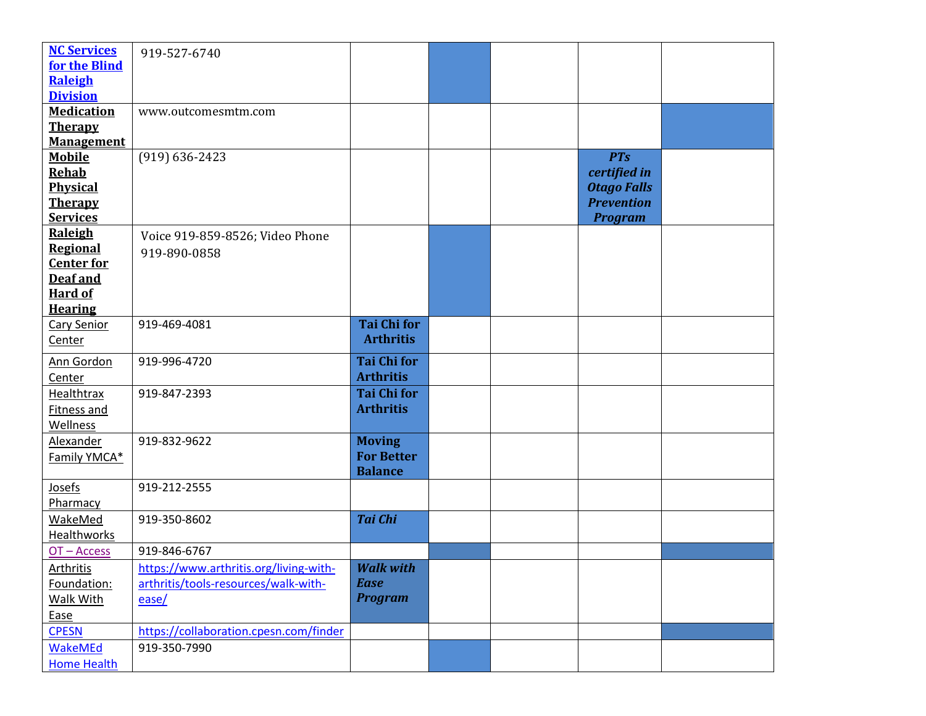| <b>NC Services</b> | 919-527-6740                           |                    |  |                    |  |
|--------------------|----------------------------------------|--------------------|--|--------------------|--|
| for the Blind      |                                        |                    |  |                    |  |
| Raleigh            |                                        |                    |  |                    |  |
| <b>Division</b>    |                                        |                    |  |                    |  |
| <b>Medication</b>  | www.outcomesmtm.com                    |                    |  |                    |  |
| <b>Therapy</b>     |                                        |                    |  |                    |  |
| <b>Management</b>  |                                        |                    |  |                    |  |
| <b>Mobile</b>      | $(919) 636 - 2423$                     |                    |  | <b>PTs</b>         |  |
| <b>Rehab</b>       |                                        |                    |  | certified in       |  |
| Physical           |                                        |                    |  | <b>Otago Falls</b> |  |
| <b>Therapy</b>     |                                        |                    |  | <b>Prevention</b>  |  |
| <b>Services</b>    |                                        |                    |  | <b>Program</b>     |  |
| <b>Raleigh</b>     | Voice 919-859-8526; Video Phone        |                    |  |                    |  |
| <b>Regional</b>    | 919-890-0858                           |                    |  |                    |  |
| <b>Center for</b>  |                                        |                    |  |                    |  |
| Deaf and           |                                        |                    |  |                    |  |
| <b>Hard of</b>     |                                        |                    |  |                    |  |
| <b>Hearing</b>     |                                        |                    |  |                    |  |
| <b>Cary Senior</b> | 919-469-4081                           | <b>Tai Chi for</b> |  |                    |  |
| Center             |                                        | <b>Arthritis</b>   |  |                    |  |
| Ann Gordon         | 919-996-4720                           | <b>Tai Chi for</b> |  |                    |  |
| Center             |                                        | <b>Arthritis</b>   |  |                    |  |
| Healthtrax         | 919-847-2393                           | <b>Tai Chi for</b> |  |                    |  |
| Fitness and        |                                        | <b>Arthritis</b>   |  |                    |  |
| Wellness           |                                        |                    |  |                    |  |
| <b>Alexander</b>   | 919-832-9622                           | <b>Moving</b>      |  |                    |  |
| Family YMCA*       |                                        | <b>For Better</b>  |  |                    |  |
|                    |                                        | <b>Balance</b>     |  |                    |  |
| Josefs             | 919-212-2555                           |                    |  |                    |  |
| Pharmacy           |                                        |                    |  |                    |  |
| <b>WakeMed</b>     | 919-350-8602                           | <b>Tai Chi</b>     |  |                    |  |
| Healthworks        |                                        |                    |  |                    |  |
| OT-Access          | 919-846-6767                           |                    |  |                    |  |
| <b>Arthritis</b>   | https://www.arthritis.org/living-with- | <b>Walk with</b>   |  |                    |  |
| Foundation:        | arthritis/tools-resources/walk-with-   | <b>Ease</b>        |  |                    |  |
| Walk With          | ease/                                  | <b>Program</b>     |  |                    |  |
| Ease               |                                        |                    |  |                    |  |
| <b>CPESN</b>       | https://collaboration.cpesn.com/finder |                    |  |                    |  |
| <b>WakeMEd</b>     | 919-350-7990                           |                    |  |                    |  |
| <b>Home Health</b> |                                        |                    |  |                    |  |